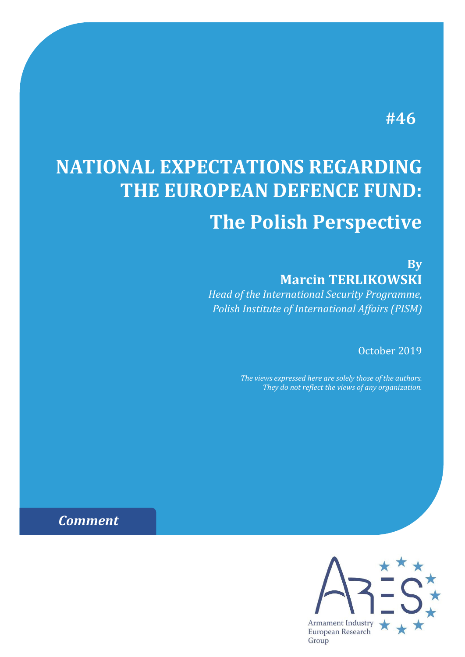# **#46**

# **NATIONAL EXPECTATIONS REGARDING THE EUROPEAN DEFENCE FUND: The Polish Perspective**

**By Marcin TERLIKOWSKI**

*Head of the International Security Programme, Polish Institute of International Affairs (PISM)*

October 2019

*The views expressed here are solely those of the authors. They do not reflect the views of any organization.*

*Comment*

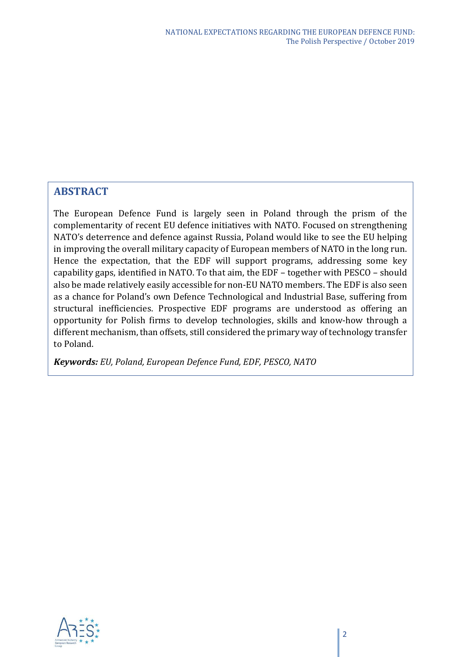## **ABSTRACT**

The European Defence Fund is largely seen in Poland through the prism of the complementarity of recent EU defence initiatives with NATO. Focused on strengthening NATO's deterrence and defence against Russia, Poland would like to see the EU helping in improving the overall military capacity of European members of NATO in the long run. Hence the expectation, that the EDF will support programs, addressing some key capability gaps, identified in NATO. To that aim, the EDF – together with PESCO – should also be made relatively easily accessible for non-EU NATO members. The EDF is also seen as a chance for Poland's own Defence Technological and Industrial Base, suffering from structural inefficiencies. Prospective EDF programs are understood as offering an opportunity for Polish firms to develop technologies, skills and know-how through a different mechanism, than offsets, still considered the primary way of technology transfer to Poland.

*Keywords: EU, Poland, European Defence Fund, EDF, PESCO, NATO*

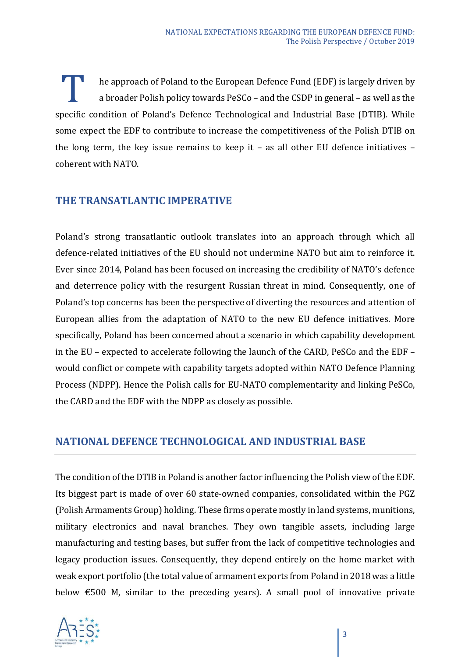he approach of Poland to the European Defence Fund (EDF) is largely driven by a broader Polish policy towards PeSCo – and the CSDP in general – as well as the specific condition of Poland's Defence Technological and Industrial Base (DTIB). While<br>specific condition of Poland's Defence Technological and Industrial Base (DTIB). While some expect the EDF to contribute to increase the competitiveness of the Polish DTIB on the long term, the key issue remains to keep it – as all other EU defence initiatives – coherent with NATO.

#### **THE TRANSATLANTIC IMPERATIVE**

Poland's strong transatlantic outlook translates into an approach through which all defence-related initiatives of the EU should not undermine NATO but aim to reinforce it. Ever since 2014, Poland has been focused on increasing the credibility of NATO's defence and deterrence policy with the resurgent Russian threat in mind. Consequently, one of Poland's top concerns has been the perspective of diverting the resources and attention of European allies from the adaptation of NATO to the new EU defence initiatives. More specifically, Poland has been concerned about a scenario in which capability development in the EU – expected to accelerate following the launch of the CARD, PeSCo and the EDF – would conflict or compete with capability targets adopted within NATO Defence Planning Process (NDPP). Hence the Polish calls for EU-NATO complementarity and linking PeSCo, the CARD and the EDF with the NDPP as closely as possible.

#### **NATIONAL DEFENCE TECHNOLOGICAL AND INDUSTRIAL BASE**

The condition of the DTIB in Poland is another factor influencing the Polish view of the EDF. Its biggest part is made of over 60 state-owned companies, consolidated within the PGZ (Polish Armaments Group) holding. These firms operate mostly in land systems, munitions, military electronics and naval branches. They own tangible assets, including large manufacturing and testing bases, but suffer from the lack of competitive technologies and legacy production issues. Consequently, they depend entirely on the home market with weak export portfolio (the total value of armament exports from Poland in 2018 was a little below €500 M, similar to the preceding years). A small pool of innovative private

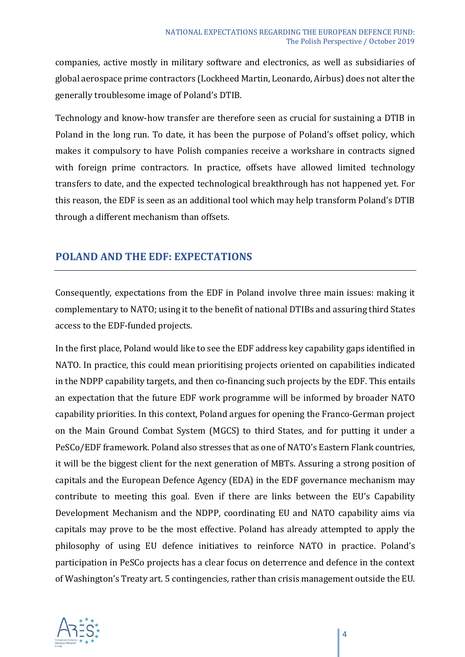companies, active mostly in military software and electronics, as well as subsidiaries of global aerospace prime contractors (Lockheed Martin, Leonardo, Airbus) does not alter the generally troublesome image of Poland's DTIB.

Technology and know-how transfer are therefore seen as crucial for sustaining a DTIB in Poland in the long run. To date, it has been the purpose of Poland's offset policy, which makes it compulsory to have Polish companies receive a workshare in contracts signed with foreign prime contractors. In practice, offsets have allowed limited technology transfers to date, and the expected technological breakthrough has not happened yet. For this reason, the EDF is seen as an additional tool which may help transform Poland's DTIB through a different mechanism than offsets.

## **POLAND AND THE EDF: EXPECTATIONS**

Consequently, expectations from the EDF in Poland involve three main issues: making it complementary to NATO; using it to the benefit of national DTIBs and assuring third States access to the EDF-funded projects.

In the first place, Poland would like to see the EDF address key capability gaps identified in NATO. In practice, this could mean prioritising projects oriented on capabilities indicated in the NDPP capability targets, and then co-financing such projects by the EDF. This entails an expectation that the future EDF work programme will be informed by broader NATO capability priorities. In this context, Poland argues for opening the Franco-German project on the Main Ground Combat System (MGCS) to third States, and for putting it under a PeSCo/EDF framework. Poland also stresses that as one of NATO's Eastern Flank countries, it will be the biggest client for the next generation of MBTs. Assuring a strong position of capitals and the European Defence Agency (EDA) in the EDF governance mechanism may contribute to meeting this goal. Even if there are links between the EU's Capability Development Mechanism and the NDPP, coordinating EU and NATO capability aims via capitals may prove to be the most effective. Poland has already attempted to apply the philosophy of using EU defence initiatives to reinforce NATO in practice. Poland's participation in PeSCo projects has a clear focus on deterrence and defence in the context of Washington's Treaty art. 5 contingencies, rather than crisis management outside the EU.

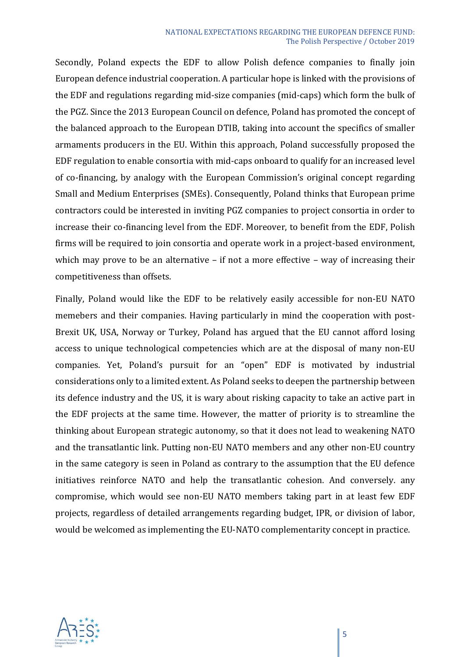#### NATIONAL EXPECTATIONS REGARDING THE EUROPEAN DEFENCE FUND: The Polish Perspective / October 2019

Secondly, Poland expects the EDF to allow Polish defence companies to finally join European defence industrial cooperation. A particular hope is linked with the provisions of the EDF and regulations regarding mid-size companies (mid-caps) which form the bulk of the PGZ. Since the 2013 European Council on defence, Poland has promoted the concept of the balanced approach to the European DTIB, taking into account the specifics of smaller armaments producers in the EU. Within this approach, Poland successfully proposed the EDF regulation to enable consortia with mid-caps onboard to qualify for an increased level of co-financing, by analogy with the European Commission's original concept regarding Small and Medium Enterprises (SMEs). Consequently, Poland thinks that European prime contractors could be interested in inviting PGZ companies to project consortia in order to increase their co-financing level from the EDF. Moreover, to benefit from the EDF, Polish firms will be required to join consortia and operate work in a project-based environment, which may prove to be an alternative – if not a more effective – way of increasing their competitiveness than offsets.

Finally, Poland would like the EDF to be relatively easily accessible for non-EU NATO memebers and their companies. Having particularly in mind the cooperation with post-Brexit UK, USA, Norway or Turkey, Poland has argued that the EU cannot afford losing access to unique technological competencies which are at the disposal of many non-EU companies. Yet, Poland's pursuit for an "open" EDF is motivated by industrial considerations only to a limited extent. As Poland seeks to deepen the partnership between its defence industry and the US, it is wary about risking capacity to take an active part in the EDF projects at the same time. However, the matter of priority is to streamline the thinking about European strategic autonomy, so that it does not lead to weakening NATO and the transatlantic link. Putting non-EU NATO members and any other non-EU country in the same category is seen in Poland as contrary to the assumption that the EU defence initiatives reinforce NATO and help the transatlantic cohesion. And conversely. any compromise, which would see non-EU NATO members taking part in at least few EDF projects, regardless of detailed arrangements regarding budget, IPR, or division of labor, would be welcomed as implementing the EU-NATO complementarity concept in practice.

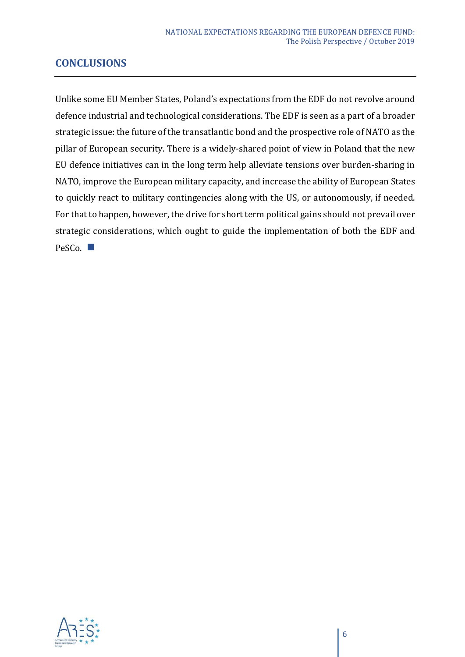## **CONCLUSIONS**

Unlike some EU Member States, Poland's expectations from the EDF do not revolve around defence industrial and technological considerations. The EDF is seen as a part of a broader strategic issue: the future of the transatlantic bond and the prospective role of NATO as the pillar of European security. There is a widely-shared point of view in Poland that the new EU defence initiatives can in the long term help alleviate tensions over burden-sharing in NATO, improve the European military capacity, and increase the ability of European States to quickly react to military contingencies along with the US, or autonomously, if needed. For that to happen, however, the drive for short term political gains should not prevail over strategic considerations, which ought to guide the implementation of both the EDF and PeSCo.